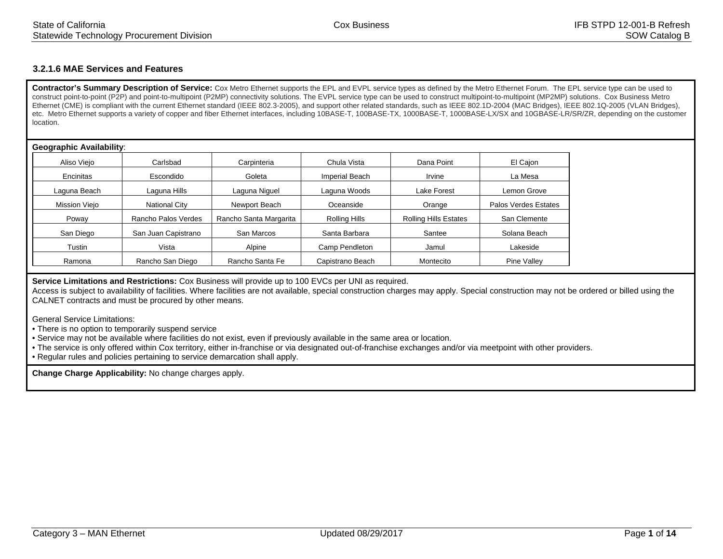## **3.2.1.6 MAE Services and Features**

Contractor's Summary Description of Service: Cox Metro Ethernet supports the EPL and EVPL service types as defined by the Metro Ethernet Forum. The EPL service type can be used to construct point-to-point (P2P) and point-to-multipoint (P2MP) connectivity solutions. The EVPL service type can be used to construct multipoint-to-multipoint (MP2MP) solutions. Cox Business Metro Ethernet (CME) is compliant with the current Ethernet standard (IEEE 802.3-2005), and support other related standards, such as IEEE 802.1D-2004 (MAC Bridges), IEEE 802.1Q-2005 (VLAN Bridges), etc. Metro Ethernet supports a variety of copper and fiber Ethernet interfaces, including 10BASE-T, 100BASE-TX, 1000BASE-T, 1000BASE-LX/SX and 10GBASE-LR/SR/ZR, depending on the customer location.

## **Geographic Availability**:

| Aliso Viejo   | Carlsbad             | Carpinteria            | Chula Vista           | Dana Point                   | El Cajon             |
|---------------|----------------------|------------------------|-----------------------|------------------------------|----------------------|
| Encinitas     | Escondido            | Goleta                 | <b>Imperial Beach</b> | Irvine                       | La Mesa              |
| Laguna Beach  | Laguna Hills         | Laguna Niguel          | Laguna Woods          | Lake Forest                  | Lemon Grove          |
| Mission Viejo | <b>National City</b> | Newport Beach          | Oceanside             | Orange                       | Palos Verdes Estates |
| Poway         | Rancho Palos Verdes  | Rancho Santa Margarita | Rolling Hills         | <b>Rolling Hills Estates</b> | San Clemente         |
| San Diego     | San Juan Capistrano  | San Marcos             | Santa Barbara         | Santee                       | Solana Beach         |
| Tustin        | Vista                | Alpine                 | Camp Pendleton        | Jamul                        | Lakeside             |
| Ramona        | Rancho San Diego     | Rancho Santa Fe        | Capistrano Beach      | Montecito                    | Pine Valley          |

**Service Limitations and Restrictions:** Cox Business will provide up to 100 EVCs per UNI as required.

Access is subject to availability of facilities. Where facilities are not available, special construction charges may apply. Special construction may not be ordered or billed using the CALNET contracts and must be procured by other means.

General Service Limitations:

- There is no option to temporarily suspend service
- Service may not be available where facilities do not exist, even if previously available in the same area or location.
- The service is only offered within Cox territory, either in-franchise or via designated out-of-franchise exchanges and/or via meetpoint with other providers.
- Regular rules and policies pertaining to service demarcation shall apply.

**Change Charge Applicability:** No change charges apply.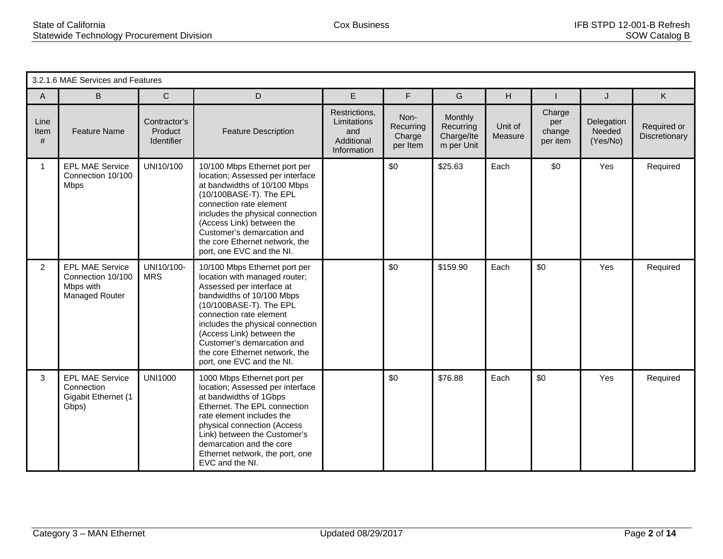|                   | 3.2.1.6 MAE Services and Features                                          |                                              |                                                                                                                                                                                                                                                                                                                                              |                                                                  |                                         |                                                  |                    |                                     |                                  |                              |  |  |
|-------------------|----------------------------------------------------------------------------|----------------------------------------------|----------------------------------------------------------------------------------------------------------------------------------------------------------------------------------------------------------------------------------------------------------------------------------------------------------------------------------------------|------------------------------------------------------------------|-----------------------------------------|--------------------------------------------------|--------------------|-------------------------------------|----------------------------------|------------------------------|--|--|
| A                 | B                                                                          | $\mathsf{C}$                                 | D                                                                                                                                                                                                                                                                                                                                            | E                                                                | F                                       | G                                                | H.                 |                                     | J                                | K.                           |  |  |
| Line<br>Item<br># | <b>Feature Name</b>                                                        | Contractor's<br>Product<br><b>Identifier</b> | <b>Feature Description</b>                                                                                                                                                                                                                                                                                                                   | Restrictions,<br>Limitations<br>and<br>Additional<br>Information | Non-<br>Recurring<br>Charge<br>per Item | Monthly<br>Recurring<br>Charge/Ite<br>m per Unit | Unit of<br>Measure | Charge<br>per<br>change<br>per item | Delegation<br>Needed<br>(Yes/No) | Required or<br>Discretionary |  |  |
| $\mathbf{1}$      | <b>EPL MAE Service</b><br>Connection 10/100<br><b>Mbps</b>                 | UNI10/100                                    | 10/100 Mbps Ethernet port per<br>location; Assessed per interface<br>at bandwidths of 10/100 Mbps<br>(10/100BASE-T). The EPL<br>connection rate element<br>includes the physical connection<br>(Access Link) between the<br>Customer's demarcation and<br>the core Ethernet network, the<br>port, one EVC and the NI.                        |                                                                  | \$0                                     | \$25.63                                          | Each               | \$0                                 | Yes                              | Required                     |  |  |
| $\overline{2}$    | <b>EPL MAE Service</b><br>Connection 10/100<br>Mbps with<br>Managed Router | UNI10/100-<br><b>MRS</b>                     | 10/100 Mbps Ethernet port per<br>location with managed router;<br>Assessed per interface at<br>bandwidths of 10/100 Mbps<br>(10/100BASE-T). The EPL<br>connection rate element<br>includes the physical connection<br>(Access Link) between the<br>Customer's demarcation and<br>the core Ethernet network, the<br>port, one EVC and the NI. |                                                                  | \$0                                     | \$159.90                                         | Each               | \$0                                 | Yes                              | Required                     |  |  |
| 3                 | <b>EPL MAE Service</b><br>Connection<br>Gigabit Ethernet (1<br>Gbps)       | <b>UNI1000</b>                               | 1000 Mbps Ethernet port per<br>location; Assessed per interface<br>at bandwidths of 1Gbps<br>Ethernet. The EPL connection<br>rate element includes the<br>physical connection (Access<br>Link) between the Customer's<br>demarcation and the core<br>Ethernet network, the port, one<br>EVC and the NI.                                      |                                                                  | \$0                                     | \$76.88                                          | Each               | \$0                                 | Yes                              | Required                     |  |  |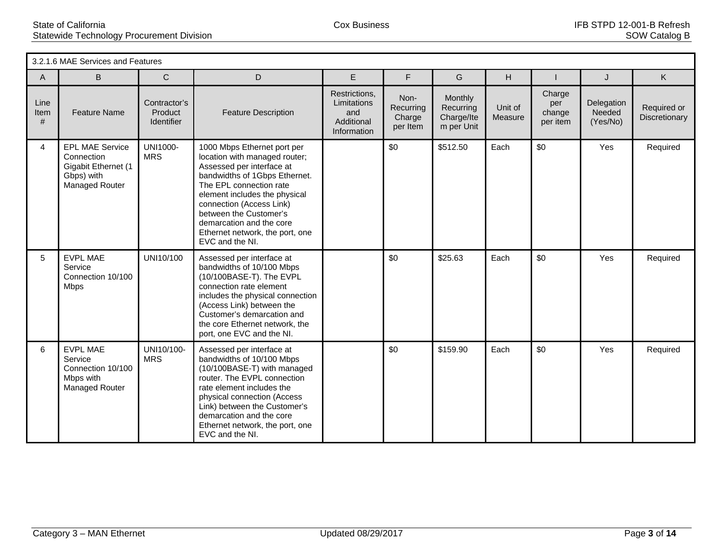|                   | 3.2.1.6 MAE Services and Features                                                           |                                              |                                                                                                                                                                                                                                                                                                                                |                                                                  |                                         |                                                  |                    |                                     |                                  |                              |  |  |
|-------------------|---------------------------------------------------------------------------------------------|----------------------------------------------|--------------------------------------------------------------------------------------------------------------------------------------------------------------------------------------------------------------------------------------------------------------------------------------------------------------------------------|------------------------------------------------------------------|-----------------------------------------|--------------------------------------------------|--------------------|-------------------------------------|----------------------------------|------------------------------|--|--|
| A                 | B                                                                                           | $\mathsf C$                                  | D                                                                                                                                                                                                                                                                                                                              | E                                                                | F                                       | G                                                | Н                  |                                     | J                                | K.                           |  |  |
| Line<br>Item<br># | <b>Feature Name</b>                                                                         | Contractor's<br>Product<br><b>Identifier</b> | <b>Feature Description</b>                                                                                                                                                                                                                                                                                                     | Restrictions.<br>Limitations<br>and<br>Additional<br>Information | Non-<br>Recurring<br>Charge<br>per Item | Monthly<br>Recurring<br>Charge/Ite<br>m per Unit | Unit of<br>Measure | Charge<br>per<br>change<br>per item | Delegation<br>Needed<br>(Yes/No) | Required or<br>Discretionary |  |  |
| 4                 | <b>EPL MAE Service</b><br>Connection<br>Gigabit Ethernet (1<br>Gbps) with<br>Managed Router | UNI1000-<br><b>MRS</b>                       | 1000 Mbps Ethernet port per<br>location with managed router;<br>Assessed per interface at<br>bandwidths of 1Gbps Ethernet.<br>The EPL connection rate<br>element includes the physical<br>connection (Access Link)<br>between the Customer's<br>demarcation and the core<br>Ethernet network, the port, one<br>EVC and the NI. |                                                                  | \$0                                     | \$512.50                                         | Each               | \$0                                 | Yes                              | Required                     |  |  |
| 5                 | <b>EVPL MAE</b><br>Service<br>Connection 10/100<br><b>Mbps</b>                              | UNI10/100                                    | Assessed per interface at<br>bandwidths of 10/100 Mbps<br>(10/100BASE-T). The EVPL<br>connection rate element<br>includes the physical connection<br>(Access Link) between the<br>Customer's demarcation and<br>the core Ethernet network, the<br>port, one EVC and the NI.                                                    |                                                                  | \$0                                     | \$25.63                                          | Each               | \$0                                 | Yes                              | Required                     |  |  |
| 6                 | <b>EVPL MAE</b><br>Service<br>Connection 10/100<br>Mbps with<br>Managed Router              | UNI10/100-<br><b>MRS</b>                     | Assessed per interface at<br>bandwidths of 10/100 Mbps<br>(10/100BASE-T) with managed<br>router. The EVPL connection<br>rate element includes the<br>physical connection (Access<br>Link) between the Customer's<br>demarcation and the core<br>Ethernet network, the port, one<br>EVC and the NI.                             |                                                                  | \$0                                     | \$159.90                                         | Each               | \$0                                 | Yes                              | Required                     |  |  |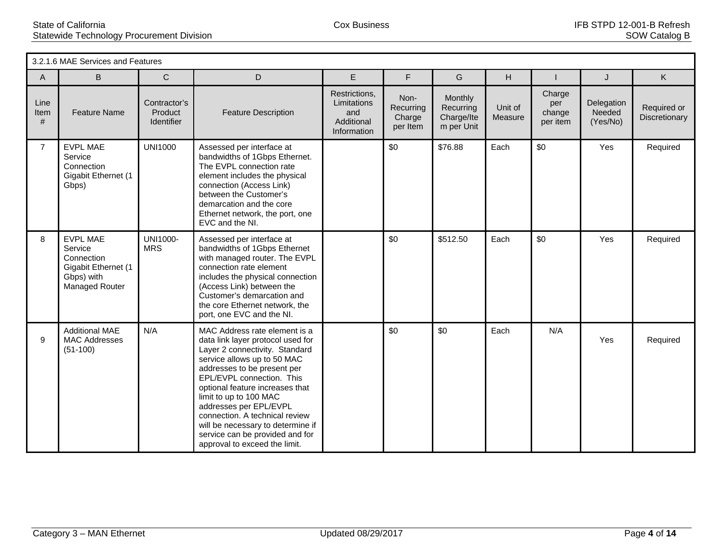|                   | 3.2.1.6 MAE Services and Features                                                               |                                              |                                                                                                                                                                                                                                                                                                                                                                                                                                   |                                                                  |                                         |                                                  |                    |                                     |                                  |                              |  |  |
|-------------------|-------------------------------------------------------------------------------------------------|----------------------------------------------|-----------------------------------------------------------------------------------------------------------------------------------------------------------------------------------------------------------------------------------------------------------------------------------------------------------------------------------------------------------------------------------------------------------------------------------|------------------------------------------------------------------|-----------------------------------------|--------------------------------------------------|--------------------|-------------------------------------|----------------------------------|------------------------------|--|--|
| $\mathsf{A}$      | B.                                                                                              | $\mathsf{C}$                                 | D                                                                                                                                                                                                                                                                                                                                                                                                                                 | E                                                                | F                                       | G                                                | H                  |                                     | J                                | K.                           |  |  |
| Line<br>Item<br># | <b>Feature Name</b>                                                                             | Contractor's<br>Product<br><b>Identifier</b> | <b>Feature Description</b>                                                                                                                                                                                                                                                                                                                                                                                                        | Restrictions,<br>Limitations<br>and<br>Additional<br>Information | Non-<br>Recurring<br>Charge<br>per Item | Monthly<br>Recurring<br>Charge/Ite<br>m per Unit | Unit of<br>Measure | Charge<br>per<br>change<br>per item | Delegation<br>Needed<br>(Yes/No) | Required or<br>Discretionary |  |  |
| $\overline{7}$    | <b>EVPL MAE</b><br>Service<br>Connection<br>Gigabit Ethernet (1<br>Gbps)                        | <b>UNI1000</b>                               | Assessed per interface at<br>bandwidths of 1Gbps Ethernet.<br>The EVPL connection rate<br>element includes the physical<br>connection (Access Link)<br>between the Customer's<br>demarcation and the core<br>Ethernet network, the port, one<br>EVC and the NI.                                                                                                                                                                   |                                                                  | \$0                                     | \$76.88                                          | Each               | \$0                                 | Yes                              | Required                     |  |  |
| 8                 | <b>EVPL MAE</b><br>Service<br>Connection<br>Gigabit Ethernet (1<br>Gbps) with<br>Managed Router | <b>UNI1000-</b><br><b>MRS</b>                | Assessed per interface at<br>bandwidths of 1Gbps Ethernet<br>with managed router. The EVPL<br>connection rate element<br>includes the physical connection<br>(Access Link) between the<br>Customer's demarcation and<br>the core Ethernet network, the<br>port, one EVC and the NI.                                                                                                                                               |                                                                  | \$0                                     | \$512.50                                         | Each               | \$0                                 | Yes                              | Required                     |  |  |
| 9                 | <b>Additional MAE</b><br><b>MAC Addresses</b><br>$(51-100)$                                     | N/A                                          | MAC Address rate element is a<br>data link layer protocol used for<br>Layer 2 connectivity. Standard<br>service allows up to 50 MAC<br>addresses to be present per<br>EPL/EVPL connection. This<br>optional feature increases that<br>limit to up to 100 MAC<br>addresses per EPL/EVPL<br>connection. A technical review<br>will be necessary to determine if<br>service can be provided and for<br>approval to exceed the limit. |                                                                  | \$0                                     | \$0                                              | Each               | N/A                                 | Yes                              | Required                     |  |  |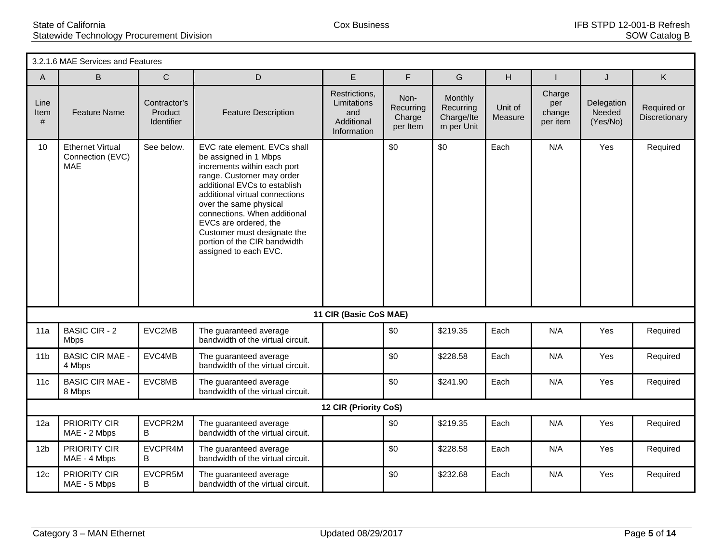|                   | 3.2.1.6 MAE Services and Features                         |                                       |                                                                                                                                                                                                                                                                                                                                                                |                                                                  |                                         |                                                  |                    |                                     |                                  |                              |  |  |
|-------------------|-----------------------------------------------------------|---------------------------------------|----------------------------------------------------------------------------------------------------------------------------------------------------------------------------------------------------------------------------------------------------------------------------------------------------------------------------------------------------------------|------------------------------------------------------------------|-----------------------------------------|--------------------------------------------------|--------------------|-------------------------------------|----------------------------------|------------------------------|--|--|
| A                 | B                                                         | $\mathsf C$                           | D                                                                                                                                                                                                                                                                                                                                                              | E                                                                | F                                       | G                                                | H                  |                                     | J                                | Κ                            |  |  |
| Line<br>Item<br># | <b>Feature Name</b>                                       | Contractor's<br>Product<br>Identifier | <b>Feature Description</b>                                                                                                                                                                                                                                                                                                                                     | Restrictions,<br>Limitations<br>and<br>Additional<br>Information | Non-<br>Recurring<br>Charge<br>per Item | Monthly<br>Recurring<br>Charge/Ite<br>m per Unit | Unit of<br>Measure | Charge<br>per<br>change<br>per item | Delegation<br>Needed<br>(Yes/No) | Required or<br>Discretionary |  |  |
| 10                | <b>Ethernet Virtual</b><br>Connection (EVC)<br><b>MAE</b> | See below.                            | EVC rate element. EVCs shall<br>be assigned in 1 Mbps<br>increments within each port<br>range. Customer may order<br>additional EVCs to establish<br>additional virtual connections<br>over the same physical<br>connections. When additional<br>EVCs are ordered, the<br>Customer must designate the<br>portion of the CIR bandwidth<br>assigned to each EVC. |                                                                  | \$0                                     | \$0                                              | Each               | N/A                                 | Yes                              | Required                     |  |  |
|                   |                                                           |                                       |                                                                                                                                                                                                                                                                                                                                                                | 11 CIR (Basic CoS MAE)                                           |                                         |                                                  |                    |                                     |                                  |                              |  |  |
| 11a               | <b>BASIC CIR - 2</b><br><b>Mbps</b>                       | EVC2MB                                | The guaranteed average<br>bandwidth of the virtual circuit.                                                                                                                                                                                                                                                                                                    |                                                                  | \$0                                     | \$219.35                                         | Each               | N/A                                 | Yes                              | Required                     |  |  |
| 11 <sub>b</sub>   | <b>BASIC CIR MAE -</b><br>4 Mbps                          | EVC4MB                                | The guaranteed average<br>bandwidth of the virtual circuit.                                                                                                                                                                                                                                                                                                    |                                                                  | \$0                                     | \$228.58                                         | Each               | N/A                                 | Yes                              | Required                     |  |  |
| 11c               | <b>BASIC CIR MAE -</b><br>8 Mbps                          | EVC8MB                                | The guaranteed average<br>bandwidth of the virtual circuit.                                                                                                                                                                                                                                                                                                    |                                                                  | \$0                                     | \$241.90                                         | Each               | N/A                                 | Yes                              | Required                     |  |  |
|                   |                                                           |                                       |                                                                                                                                                                                                                                                                                                                                                                | 12 CIR (Priority CoS)                                            |                                         |                                                  |                    |                                     |                                  |                              |  |  |
| 12a               | PRIORITY CIR<br>MAE - 2 Mbps                              | EVCPR2M<br>B                          | The guaranteed average<br>bandwidth of the virtual circuit.                                                                                                                                                                                                                                                                                                    |                                                                  | \$0                                     | \$219.35                                         | Each               | N/A                                 | Yes                              | Required                     |  |  |
| 12 <sub>b</sub>   | PRIORITY CIR<br>MAE - 4 Mbps                              | EVCPR4M<br>B                          | The guaranteed average<br>bandwidth of the virtual circuit.                                                                                                                                                                                                                                                                                                    |                                                                  | \$0                                     | \$228.58                                         | Each               | N/A                                 | Yes                              | Required                     |  |  |
| 12c               | PRIORITY CIR<br>MAE - 5 Mbps                              | EVCPR5M<br>B                          | The guaranteed average<br>bandwidth of the virtual circuit.                                                                                                                                                                                                                                                                                                    |                                                                  | \$0                                     | \$232.68                                         | Each               | N/A                                 | Yes                              | Required                     |  |  |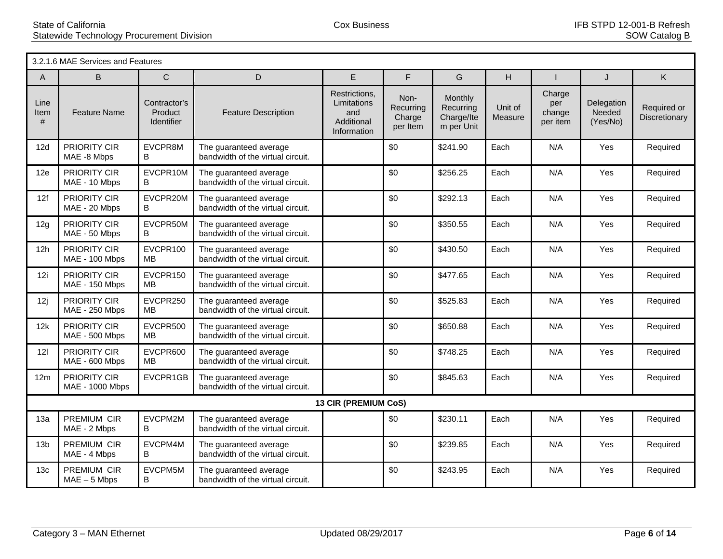|                   | 3.2.1.6 MAE Services and Features     |                                       |                                                             |                                                                  |                                         |                                                  |                    |                                     |                                  |                              |  |  |
|-------------------|---------------------------------------|---------------------------------------|-------------------------------------------------------------|------------------------------------------------------------------|-----------------------------------------|--------------------------------------------------|--------------------|-------------------------------------|----------------------------------|------------------------------|--|--|
| A                 | B                                     | $\mathsf C$                           | D                                                           | E.                                                               | F                                       | G                                                | H                  |                                     | J                                | K.                           |  |  |
| Line<br>Item<br># | <b>Feature Name</b>                   | Contractor's<br>Product<br>Identifier | <b>Feature Description</b>                                  | Restrictions,<br>Limitations<br>and<br>Additional<br>Information | Non-<br>Recurring<br>Charge<br>per Item | Monthly<br>Recurring<br>Charge/Ite<br>m per Unit | Unit of<br>Measure | Charge<br>per<br>change<br>per item | Delegation<br>Needed<br>(Yes/No) | Required or<br>Discretionary |  |  |
| 12d               | <b>PRIORITY CIR</b><br>MAE -8 Mbps    | EVCPR8M<br>B                          | The guaranteed average<br>bandwidth of the virtual circuit. |                                                                  | \$0                                     | \$241.90                                         | Each               | N/A                                 | Yes                              | Required                     |  |  |
| 12e               | <b>PRIORITY CIR</b><br>MAE - 10 Mbps  | EVCPR10M<br>B                         | The guaranteed average<br>bandwidth of the virtual circuit. |                                                                  | \$0                                     | \$256.25                                         | Each               | N/A                                 | Yes                              | Required                     |  |  |
| 12f               | PRIORITY CIR<br>MAE - 20 Mbps         | EVCPR20M<br>B                         | The guaranteed average<br>bandwidth of the virtual circuit. |                                                                  | \$0                                     | \$292.13                                         | Each               | N/A                                 | Yes                              | Required                     |  |  |
| 12g               | PRIORITY CIR<br>MAE - 50 Mbps         | EVCPR50M<br>B                         | The quaranteed average<br>bandwidth of the virtual circuit. |                                                                  | \$0                                     | \$350.55                                         | Each               | N/A                                 | Yes                              | Required                     |  |  |
| 12h               | <b>PRIORITY CIR</b><br>MAE - 100 Mbps | EVCPR100<br>MВ                        | The guaranteed average<br>bandwidth of the virtual circuit. |                                                                  | \$0                                     | \$430.50                                         | Each               | N/A                                 | Yes                              | Required                     |  |  |
| 12i               | <b>PRIORITY CIR</b><br>MAE - 150 Mbps | EVCPR150<br><b>MB</b>                 | The guaranteed average<br>bandwidth of the virtual circuit. |                                                                  | \$0                                     | \$477.65                                         | Each               | N/A                                 | Yes                              | Required                     |  |  |
| 12j               | <b>PRIORITY CIR</b><br>MAE - 250 Mbps | EVCPR250<br>MВ                        | The guaranteed average<br>bandwidth of the virtual circuit. |                                                                  | \$0                                     | \$525.83                                         | Each               | N/A                                 | Yes                              | Required                     |  |  |
| 12k               | <b>PRIORITY CIR</b><br>MAE - 500 Mbps | EVCPR500<br>MВ                        | The guaranteed average<br>bandwidth of the virtual circuit. |                                                                  | \$0                                     | \$650.88                                         | Each               | N/A                                 | Yes                              | Required                     |  |  |
| 121               | <b>PRIORITY CIR</b><br>MAE - 600 Mbps | EVCPR600<br><b>MB</b>                 | The guaranteed average<br>bandwidth of the virtual circuit. |                                                                  | \$0                                     | \$748.25                                         | Each               | N/A                                 | Yes                              | Required                     |  |  |
| 12 <sub>m</sub>   | PRIORITY CIR<br>MAE - 1000 Mbps       | EVCPR1GB                              | The guaranteed average<br>bandwidth of the virtual circuit. |                                                                  | \$0                                     | \$845.63                                         | Each               | N/A                                 | Yes                              | Required                     |  |  |
|                   |                                       |                                       |                                                             | 13 CIR (PREMIUM CoS)                                             |                                         |                                                  |                    |                                     |                                  |                              |  |  |
| 13a               | PREMIUM CIR<br>MAE - 2 Mbps           | EVCPM2M<br>B                          | The guaranteed average<br>bandwidth of the virtual circuit. |                                                                  | \$0                                     | \$230.11                                         | Each               | N/A                                 | Yes                              | Required                     |  |  |
| 13 <sub>b</sub>   | PREMIUM CIR<br>MAE - 4 Mbps           | EVCPM4M<br>B                          | The guaranteed average<br>bandwidth of the virtual circuit. |                                                                  | \$0                                     | \$239.85                                         | Each               | N/A                                 | Yes                              | Required                     |  |  |
| 13 <sub>c</sub>   | PREMIUM CIR<br>$MAE - 5 Mbps$         | EVCPM5M<br>B                          | The guaranteed average<br>bandwidth of the virtual circuit. |                                                                  | \$0                                     | \$243.95                                         | Each               | N/A                                 | Yes                              | Required                     |  |  |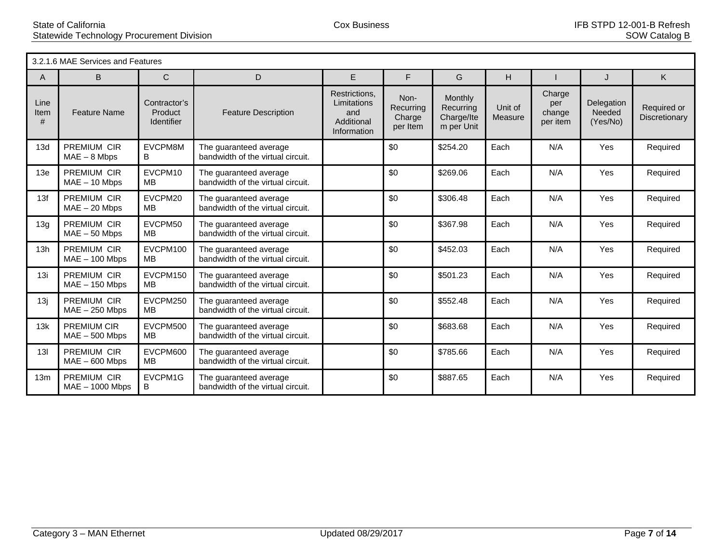|                   | 3.2.1.6 MAE Services and Features      |                                       |                                                             |                                                                  |                                         |                                                  |                    |                                     |                                  |                              |  |  |
|-------------------|----------------------------------------|---------------------------------------|-------------------------------------------------------------|------------------------------------------------------------------|-----------------------------------------|--------------------------------------------------|--------------------|-------------------------------------|----------------------------------|------------------------------|--|--|
| A                 | B                                      | $\mathbf C$                           | D                                                           | E                                                                | F                                       | G                                                | H                  |                                     | $\cdot$                          | K                            |  |  |
| Line<br>Item<br># | <b>Feature Name</b>                    | Contractor's<br>Product<br>Identifier | <b>Feature Description</b>                                  | Restrictions.<br>Limitations<br>and<br>Additional<br>Information | Non-<br>Recurring<br>Charge<br>per Item | Monthly<br>Recurring<br>Charge/Ite<br>m per Unit | Unit of<br>Measure | Charge<br>per<br>change<br>per item | Delegation<br>Needed<br>(Yes/No) | Required or<br>Discretionary |  |  |
| 13d               | PREMIUM CIR<br>$MAE - 8$ Mbps          | EVCPM8M<br>B                          | The guaranteed average<br>bandwidth of the virtual circuit. |                                                                  | \$0                                     | \$254.20                                         | Each               | N/A                                 | Yes                              | Required                     |  |  |
| 13e               | <b>PREMIUM CIR</b><br>$MAE - 10$ Mbps  | EVCPM10<br>MВ                         | The guaranteed average<br>bandwidth of the virtual circuit. |                                                                  | \$0                                     | \$269.06                                         | Each               | N/A                                 | Yes                              | Required                     |  |  |
| 13f               | <b>PREMIUM CIR</b><br>$MAE - 20$ Mbps  | EVCPM20<br>MB                         | The guaranteed average<br>bandwidth of the virtual circuit. |                                                                  | \$0                                     | \$306.48                                         | Each               | N/A                                 | Yes                              | Required                     |  |  |
| 13g               | <b>PREMIUM CIR</b><br>$MAE - 50$ Mbps  | EVCPM50<br>MB                         | The guaranteed average<br>bandwidth of the virtual circuit. |                                                                  | \$0                                     | \$367.98                                         | Each               | N/A                                 | Yes                              | Required                     |  |  |
| 13h               | PREMIUM CIR<br>$MAE - 100$ Mbps        | EVCPM100<br><b>MB</b>                 | The guaranteed average<br>bandwidth of the virtual circuit. |                                                                  | \$0                                     | \$452.03                                         | Each               | N/A                                 | Yes                              | Required                     |  |  |
| 13i               | PREMIUM CIR<br>$MAE - 150$ Mbps        | EVCPM150<br>MB                        | The guaranteed average<br>bandwidth of the virtual circuit. |                                                                  | \$0                                     | \$501.23                                         | Each               | N/A                                 | Yes                              | Required                     |  |  |
| 13j               | PREMIUM CIR<br>$MAE - 250$ Mbps        | EVCPM250<br>MB                        | The guaranteed average<br>bandwidth of the virtual circuit. |                                                                  | \$0                                     | \$552.48                                         | Each               | N/A                                 | Yes                              | Required                     |  |  |
| 13k               | <b>PREMIUM CIR</b><br>$MAE - 500$ Mbps | EVCPM500<br>MB                        | The guaranteed average<br>bandwidth of the virtual circuit. |                                                                  | \$0                                     | \$683.68                                         | Each               | N/A                                 | Yes                              | Required                     |  |  |
| 13I               | PREMIUM CIR<br>$MAE - 600$ Mbps        | EVCPM600<br>MB                        | The guaranteed average<br>bandwidth of the virtual circuit. |                                                                  | \$0                                     | \$785.66                                         | Each               | N/A                                 | Yes                              | Required                     |  |  |
| 13 <sub>m</sub>   | PREMIUM CIR<br>$MAE - 1000$ Mbps       | EVCPM1G<br>B                          | The guaranteed average<br>bandwidth of the virtual circuit. |                                                                  | \$0                                     | \$887.65                                         | Each               | N/A                                 | Yes                              | Required                     |  |  |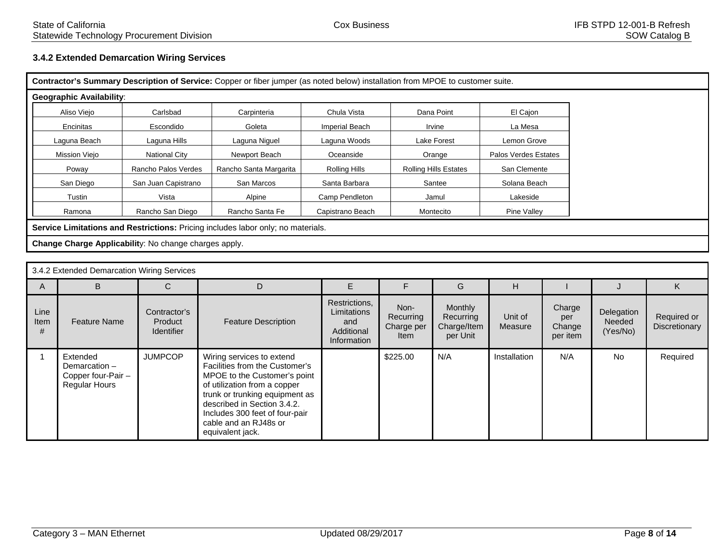## **3.4.2 Extended Demarcation Wiring Services**

| Contractor's Summary Description of Service: Copper or fiber jumper (as noted below) installation from MPOE to customer suite. |                                                                                  |                        |                       |                              |                      |  |  |  |
|--------------------------------------------------------------------------------------------------------------------------------|----------------------------------------------------------------------------------|------------------------|-----------------------|------------------------------|----------------------|--|--|--|
| <b>Geographic Availability:</b>                                                                                                |                                                                                  |                        |                       |                              |                      |  |  |  |
| Aliso Viejo                                                                                                                    | Carlsbad                                                                         | Carpinteria            | Chula Vista           | Dana Point                   | El Cajon             |  |  |  |
| Encinitas                                                                                                                      | Escondido                                                                        | Goleta                 | <b>Imperial Beach</b> | Irvine                       | La Mesa              |  |  |  |
| Laguna Beach                                                                                                                   | Laguna Hills                                                                     | Laguna Niguel          | Laguna Woods          | Lake Forest                  | Lemon Grove          |  |  |  |
| Mission Viejo                                                                                                                  | National City                                                                    | Newport Beach          | Oceanside             | Orange                       | Palos Verdes Estates |  |  |  |
| Poway                                                                                                                          | Rancho Palos Verdes                                                              | Rancho Santa Margarita | <b>Rolling Hills</b>  | <b>Rolling Hills Estates</b> | San Clemente         |  |  |  |
| San Diego                                                                                                                      | San Juan Capistrano                                                              | San Marcos             | Santa Barbara         | Santee                       | Solana Beach         |  |  |  |
| Tustin                                                                                                                         | Vista                                                                            | Alpine                 | Camp Pendleton        | Jamul                        | Lakeside             |  |  |  |
| Ramona                                                                                                                         | Rancho San Diego                                                                 | Rancho Santa Fe        | Capistrano Beach      | Montecito                    | Pine Valley          |  |  |  |
|                                                                                                                                | Service Limitations and Restrictions: Pricing includes labor only; no materials. |                        |                       |                              |                      |  |  |  |
|                                                                                                                                | Change Charge Applicability: No change charges apply.                            |                        |                       |                              |                      |  |  |  |
|                                                                                                                                |                                                                                  |                        |                       |                              |                      |  |  |  |

|                          | 3.4.2 Extended Demarcation Wiring Services                              |                                              |                                                                                                                                                                                                                                                                             |                                                                  |                                         |                                                 |                    |                                     |                                  |                              |  |
|--------------------------|-------------------------------------------------------------------------|----------------------------------------------|-----------------------------------------------------------------------------------------------------------------------------------------------------------------------------------------------------------------------------------------------------------------------------|------------------------------------------------------------------|-----------------------------------------|-------------------------------------------------|--------------------|-------------------------------------|----------------------------------|------------------------------|--|
| A                        | B.                                                                      |                                              | D                                                                                                                                                                                                                                                                           |                                                                  |                                         | G                                               | н                  |                                     |                                  | K.                           |  |
| Line<br><b>Item</b><br># | <b>Feature Name</b>                                                     | Contractor's<br>Product<br><b>Identifier</b> | <b>Feature Description</b>                                                                                                                                                                                                                                                  | Restrictions,<br>Limitations<br>and<br>Additional<br>Information | Non-<br>Recurring<br>Charge per<br>Item | Monthly<br>Recurring<br>Charge/Item<br>per Unit | Unit of<br>Measure | Charge<br>per<br>Change<br>per item | Delegation<br>Needed<br>(Yes/No) | Required or<br>Discretionary |  |
|                          | Extended<br>Demarcation -<br>Copper four-Pair -<br><b>Regular Hours</b> | <b>JUMPCOP</b>                               | Wiring services to extend<br>Facilities from the Customer's<br>MPOE to the Customer's point<br>of utilization from a copper<br>trunk or trunking equipment as<br>described in Section 3.4.2.<br>Includes 300 feet of four-pair<br>cable and an RJ48s or<br>equivalent jack. |                                                                  | \$225.00                                | N/A                                             | Installation       | N/A                                 | <b>No</b>                        | Required                     |  |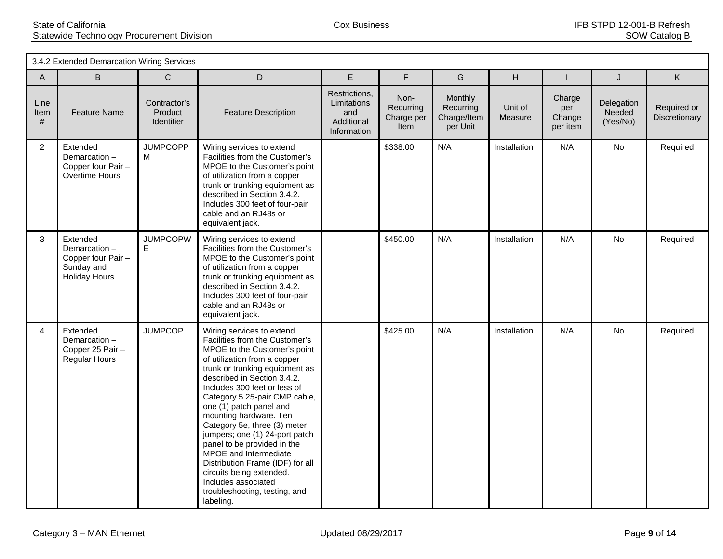|                   | 3.4.2 Extended Demarcation Wiring Services                                    |                                              |                                                                                                                                                                                                                                                                                                                                                                                                                                                                                                                                                                                   |                                                                  |                                                |                                                        |                    |                                     |                                  |                              |
|-------------------|-------------------------------------------------------------------------------|----------------------------------------------|-----------------------------------------------------------------------------------------------------------------------------------------------------------------------------------------------------------------------------------------------------------------------------------------------------------------------------------------------------------------------------------------------------------------------------------------------------------------------------------------------------------------------------------------------------------------------------------|------------------------------------------------------------------|------------------------------------------------|--------------------------------------------------------|--------------------|-------------------------------------|----------------------------------|------------------------------|
| A                 | B                                                                             | $\mathsf{C}$                                 | D                                                                                                                                                                                                                                                                                                                                                                                                                                                                                                                                                                                 | E                                                                | F                                              | G                                                      | H                  |                                     | J                                | K                            |
| Line<br>Item<br># | <b>Feature Name</b>                                                           | Contractor's<br>Product<br><b>Identifier</b> | <b>Feature Description</b>                                                                                                                                                                                                                                                                                                                                                                                                                                                                                                                                                        | Restrictions,<br>Limitations<br>and<br>Additional<br>Information | Non-<br>Recurring<br>Charge per<br><b>Item</b> | <b>Monthly</b><br>Recurring<br>Charge/Item<br>per Unit | Unit of<br>Measure | Charge<br>per<br>Change<br>per item | Delegation<br>Needed<br>(Yes/No) | Required or<br>Discretionary |
| $\overline{2}$    | Extended<br>Demarcation-<br>Copper four Pair -<br>Overtime Hours              | <b>JUMPCOPP</b><br>м                         | Wiring services to extend<br>Facilities from the Customer's<br>MPOE to the Customer's point<br>of utilization from a copper<br>trunk or trunking equipment as<br>described in Section 3.4.2.<br>Includes 300 feet of four-pair<br>cable and an RJ48s or<br>equivalent jack.                                                                                                                                                                                                                                                                                                       |                                                                  | \$338.00                                       | N/A                                                    | Installation       | N/A                                 | No                               | Required                     |
| 3                 | Extended<br>Demarcation-<br>Copper four Pair -<br>Sunday and<br>Holiday Hours | <b>JUMPCOPW</b><br>E                         | Wiring services to extend<br>Facilities from the Customer's<br>MPOE to the Customer's point<br>of utilization from a copper<br>trunk or trunking equipment as<br>described in Section 3.4.2.<br>Includes 300 feet of four-pair<br>cable and an RJ48s or<br>equivalent jack.                                                                                                                                                                                                                                                                                                       |                                                                  | \$450.00                                       | N/A                                                    | Installation       | N/A                                 | <b>No</b>                        | Required                     |
| $\overline{4}$    | Extended<br>Demarcation-<br>Copper 25 Pair -<br><b>Regular Hours</b>          | <b>JUMPCOP</b>                               | Wiring services to extend<br>Facilities from the Customer's<br>MPOE to the Customer's point<br>of utilization from a copper<br>trunk or trunking equipment as<br>described in Section 3.4.2.<br>Includes 300 feet or less of<br>Category 5 25-pair CMP cable,<br>one (1) patch panel and<br>mounting hardware. Ten<br>Category 5e, three (3) meter<br>jumpers; one (1) 24-port patch<br>panel to be provided in the<br>MPOE and Intermediate<br>Distribution Frame (IDF) for all<br>circuits being extended.<br>Includes associated<br>troubleshooting, testing, and<br>labeling. |                                                                  | \$425.00                                       | N/A                                                    | Installation       | N/A                                 | No                               | Required                     |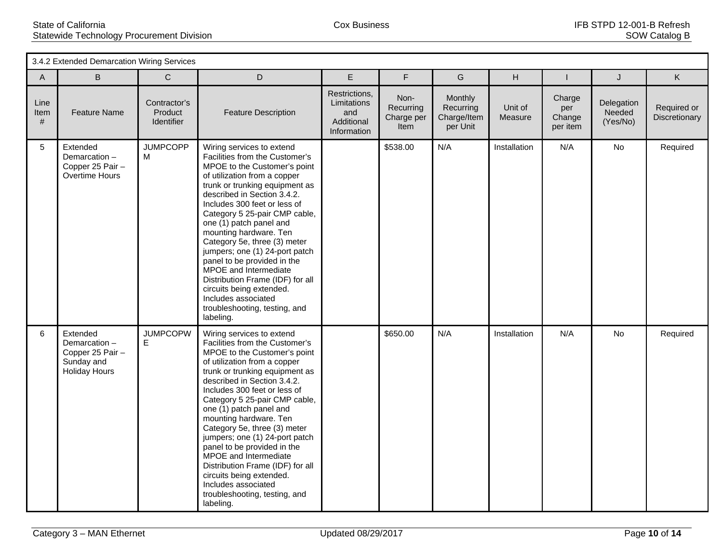|                   | 3.4.2 Extended Demarcation Wiring Services                                  |                                       |                                                                                                                                                                                                                                                                                                                                                                                                                                                                                                                                                                                   |                                                                  |                                         |                                                 |                    |                                     |                                  |                              |
|-------------------|-----------------------------------------------------------------------------|---------------------------------------|-----------------------------------------------------------------------------------------------------------------------------------------------------------------------------------------------------------------------------------------------------------------------------------------------------------------------------------------------------------------------------------------------------------------------------------------------------------------------------------------------------------------------------------------------------------------------------------|------------------------------------------------------------------|-----------------------------------------|-------------------------------------------------|--------------------|-------------------------------------|----------------------------------|------------------------------|
| A                 | B                                                                           | $\mathsf{C}$                          | D                                                                                                                                                                                                                                                                                                                                                                                                                                                                                                                                                                                 | E                                                                | F                                       | G                                               | H                  |                                     | J                                | K                            |
| Line<br>Item<br># | <b>Feature Name</b>                                                         | Contractor's<br>Product<br>Identifier | <b>Feature Description</b>                                                                                                                                                                                                                                                                                                                                                                                                                                                                                                                                                        | Restrictions,<br>Limitations<br>and<br>Additional<br>Information | Non-<br>Recurring<br>Charge per<br>Item | Monthly<br>Recurring<br>Charge/Item<br>per Unit | Unit of<br>Measure | Charge<br>per<br>Change<br>per item | Delegation<br>Needed<br>(Yes/No) | Required or<br>Discretionary |
| $5\overline{)}$   | Extended<br>Demarcation-<br>Copper 25 Pair -<br>Overtime Hours              | <b>JUMPCOPP</b><br>м                  | Wiring services to extend<br>Facilities from the Customer's<br>MPOE to the Customer's point<br>of utilization from a copper<br>trunk or trunking equipment as<br>described in Section 3.4.2.<br>Includes 300 feet or less of<br>Category 5 25-pair CMP cable,<br>one (1) patch panel and<br>mounting hardware. Ten<br>Category 5e, three (3) meter<br>jumpers; one (1) 24-port patch<br>panel to be provided in the<br>MPOE and Intermediate<br>Distribution Frame (IDF) for all<br>circuits being extended.<br>Includes associated<br>troubleshooting, testing, and<br>labeling. |                                                                  | \$538.00                                | N/A                                             | Installation       | N/A                                 | <b>No</b>                        | Required                     |
| 6                 | Extended<br>Demarcation-<br>Copper 25 Pair -<br>Sunday and<br>Holiday Hours | <b>JUMPCOPW</b><br>E                  | Wiring services to extend<br>Facilities from the Customer's<br>MPOE to the Customer's point<br>of utilization from a copper<br>trunk or trunking equipment as<br>described in Section 3.4.2.<br>Includes 300 feet or less of<br>Category 5 25-pair CMP cable,<br>one (1) patch panel and<br>mounting hardware. Ten<br>Category 5e, three (3) meter<br>jumpers; one (1) 24-port patch<br>panel to be provided in the<br>MPOE and Intermediate<br>Distribution Frame (IDF) for all<br>circuits being extended.<br>Includes associated<br>troubleshooting, testing, and<br>labeling. |                                                                  | \$650.00                                | N/A                                             | Installation       | N/A                                 | No                               | Required                     |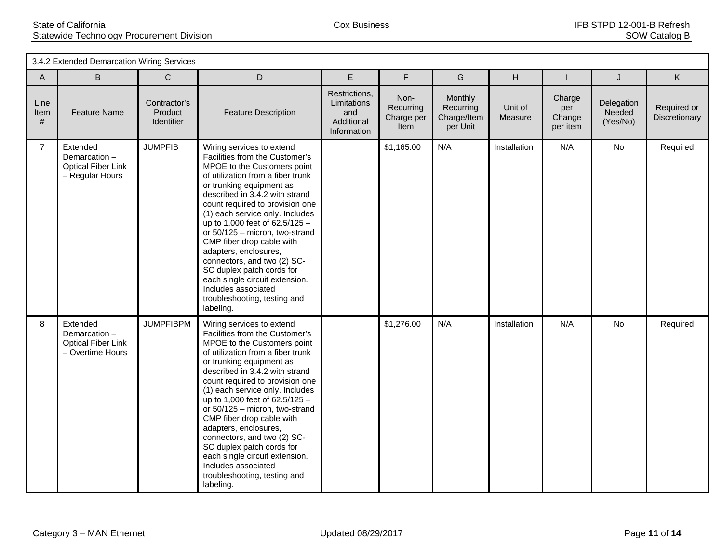|                   | 3.4.2 Extended Demarcation Wiring Services                                |                                       |                                                                                                                                                                                                                                                                                                                                                                                                                                                                                                                                                                   |                                                                  |                                         |                                                 |                    |                                     |                                  |                              |
|-------------------|---------------------------------------------------------------------------|---------------------------------------|-------------------------------------------------------------------------------------------------------------------------------------------------------------------------------------------------------------------------------------------------------------------------------------------------------------------------------------------------------------------------------------------------------------------------------------------------------------------------------------------------------------------------------------------------------------------|------------------------------------------------------------------|-----------------------------------------|-------------------------------------------------|--------------------|-------------------------------------|----------------------------------|------------------------------|
| $\mathsf{A}$      | B                                                                         | $\mathbf C$                           | D                                                                                                                                                                                                                                                                                                                                                                                                                                                                                                                                                                 | E                                                                | F                                       | G                                               | H                  |                                     | J                                | K                            |
| Line<br>Item<br># | <b>Feature Name</b>                                                       | Contractor's<br>Product<br>Identifier | <b>Feature Description</b>                                                                                                                                                                                                                                                                                                                                                                                                                                                                                                                                        | Restrictions,<br>Limitations<br>and<br>Additional<br>Information | Non-<br>Recurring<br>Charge per<br>Item | Monthly<br>Recurring<br>Charge/Item<br>per Unit | Unit of<br>Measure | Charge<br>per<br>Change<br>per item | Delegation<br>Needed<br>(Yes/No) | Required or<br>Discretionary |
| $\overline{7}$    | Extended<br>Demarcation-<br><b>Optical Fiber Link</b><br>- Regular Hours  | <b>JUMPFIB</b>                        | Wiring services to extend<br>Facilities from the Customer's<br>MPOE to the Customers point<br>of utilization from a fiber trunk<br>or trunking equipment as<br>described in 3.4.2 with strand<br>count required to provision one<br>(1) each service only. Includes<br>up to 1,000 feet of 62.5/125 -<br>or 50/125 - micron, two-strand<br>CMP fiber drop cable with<br>adapters, enclosures,<br>connectors, and two (2) SC-<br>SC duplex patch cords for<br>each single circuit extension.<br>Includes associated<br>troubleshooting, testing and<br>labeling.   |                                                                  | \$1,165.00                              | N/A                                             | Installation       | N/A                                 | No                               | Required                     |
| 8                 | Extended<br>Demarcation-<br><b>Optical Fiber Link</b><br>- Overtime Hours | <b>JUMPFIBPM</b>                      | Wiring services to extend<br>Facilities from the Customer's<br>MPOE to the Customers point<br>of utilization from a fiber trunk<br>or trunking equipment as<br>described in 3.4.2 with strand<br>count required to provision one<br>(1) each service only. Includes<br>up to 1,000 feet of $62.5/125 -$<br>or 50/125 - micron, two-strand<br>CMP fiber drop cable with<br>adapters, enclosures,<br>connectors, and two (2) SC-<br>SC duplex patch cords for<br>each single circuit extension.<br>Includes associated<br>troubleshooting, testing and<br>labeling. |                                                                  | \$1,276.00                              | N/A                                             | Installation       | N/A                                 | No                               | Required                     |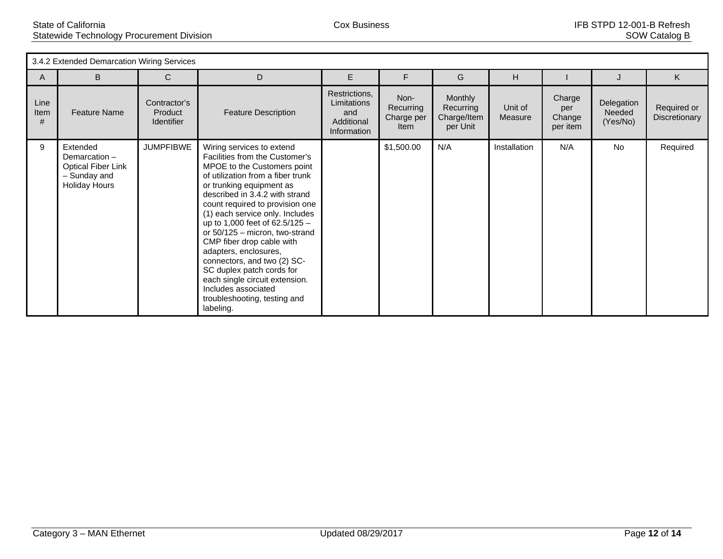| 3.4.2 Extended Demarcation Wiring Services |                                                                                                |                                              |                                                                                                                                                                                                                                                                                                                                                                                                                                                                                                                                                                   |                                                                  |                                         |                                                 |                    |                                     |                                  |                              |
|--------------------------------------------|------------------------------------------------------------------------------------------------|----------------------------------------------|-------------------------------------------------------------------------------------------------------------------------------------------------------------------------------------------------------------------------------------------------------------------------------------------------------------------------------------------------------------------------------------------------------------------------------------------------------------------------------------------------------------------------------------------------------------------|------------------------------------------------------------------|-----------------------------------------|-------------------------------------------------|--------------------|-------------------------------------|----------------------------------|------------------------------|
| A                                          | B                                                                                              | C                                            | D                                                                                                                                                                                                                                                                                                                                                                                                                                                                                                                                                                 | E                                                                | F                                       | G                                               | H                  |                                     |                                  | K                            |
| Line<br>Item<br>#                          | <b>Feature Name</b>                                                                            | Contractor's<br>Product<br><b>Identifier</b> | <b>Feature Description</b>                                                                                                                                                                                                                                                                                                                                                                                                                                                                                                                                        | Restrictions,<br>Limitations<br>and<br>Additional<br>Information | Non-<br>Recurring<br>Charge per<br>Item | Monthly<br>Recurring<br>Charge/Item<br>per Unit | Unit of<br>Measure | Charge<br>per<br>Change<br>per item | Delegation<br>Needed<br>(Yes/No) | Required or<br>Discretionary |
| 9                                          | Extended<br>Demarcation -<br><b>Optical Fiber Link</b><br>- Sunday and<br><b>Holiday Hours</b> | <b>JUMPFIBWE</b>                             | Wiring services to extend<br>Facilities from the Customer's<br>MPOE to the Customers point<br>of utilization from a fiber trunk<br>or trunking equipment as<br>described in 3.4.2 with strand<br>count required to provision one<br>(1) each service only. Includes<br>up to 1,000 feet of 62.5/125 -<br>or $50/125$ – micron, two-strand<br>CMP fiber drop cable with<br>adapters, enclosures,<br>connectors, and two (2) SC-<br>SC duplex patch cords for<br>each single circuit extension.<br>Includes associated<br>troubleshooting, testing and<br>labeling. |                                                                  | \$1,500.00                              | N/A                                             | Installation       | N/A                                 | No.                              | Required                     |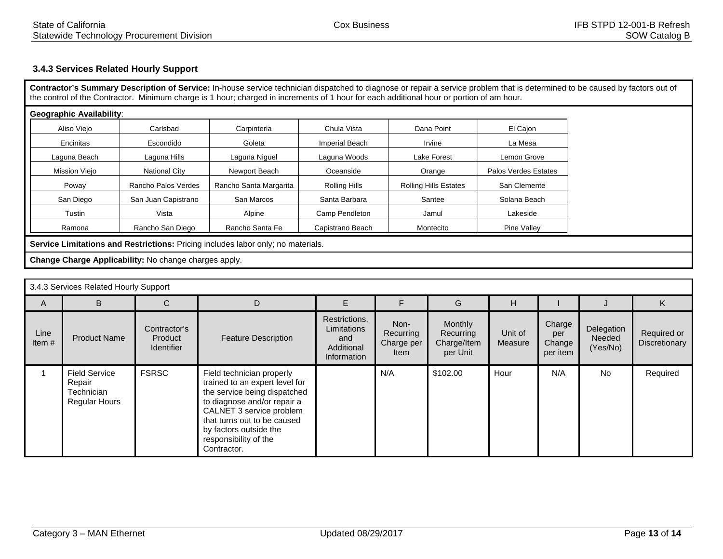## **3.4.3 Services Related Hourly Support**

**Contractor's Summary Description of Service:** In-house service technician dispatched to diagnose or repair a service problem that is determined to be caused by factors out of the control of the Contractor. Minimum charge is 1 hour; charged in increments of 1 hour for each additional hour or portion of am hour.

| Aliso Viejo   | Carlsbad             | Carpinteria            | Chula Vista      | Dana Point                   | El Cajon             |
|---------------|----------------------|------------------------|------------------|------------------------------|----------------------|
| Encinitas     | Escondido            | Goleta                 | Imperial Beach   | Irvine                       | La Mesa              |
| Laguna Beach  | Laguna Hills         | Laguna Niguel          | Laguna Woods     | Lake Forest                  | Lemon Grove          |
| Mission Viejo | <b>National City</b> | Newport Beach          | Oceanside        | Orange                       | Palos Verdes Estates |
| Poway         | Rancho Palos Verdes  | Rancho Santa Margarita | Rolling Hills    | <b>Rolling Hills Estates</b> | San Clemente         |
| San Diego     | San Juan Capistrano  | San Marcos             | Santa Barbara    | Santee                       | Solana Beach         |
| Tustin        | Vista                | Alpine                 | Camp Pendleton   | Jamul                        | Lakeside             |
| Ramona        | Rancho San Diego     | Rancho Santa Fe        | Capistrano Beach | Montecito                    | Pine Valley          |

**Service Limitations and Restrictions:** Pricing includes labor only; no materials.

**Change Charge Applicability:** No change charges apply.

| 3.4.3 Services Related Hourly Support |                                                                      |                                              |                                                                                                                                                                                                                                                         |                                                                  |                                                |                                                 |                    |                                     |                                  |                              |
|---------------------------------------|----------------------------------------------------------------------|----------------------------------------------|---------------------------------------------------------------------------------------------------------------------------------------------------------------------------------------------------------------------------------------------------------|------------------------------------------------------------------|------------------------------------------------|-------------------------------------------------|--------------------|-------------------------------------|----------------------------------|------------------------------|
| A                                     | B                                                                    | C                                            | D                                                                                                                                                                                                                                                       |                                                                  |                                                | G                                               | H                  |                                     |                                  | ĸ.                           |
| Line<br>Item $#$                      | <b>Product Name</b>                                                  | Contractor's<br>Product<br><b>Identifier</b> | <b>Feature Description</b>                                                                                                                                                                                                                              | Restrictions,<br>Limitations<br>and<br>Additional<br>Information | Non-<br>Recurring<br>Charge per<br><b>Item</b> | Monthly<br>Recurring<br>Charge/Item<br>per Unit | Unit of<br>Measure | Charge<br>per<br>Change<br>per item | Delegation<br>Needed<br>(Yes/No) | Required or<br>Discretionary |
|                                       | <b>Field Service</b><br>Repair<br>Technician<br><b>Regular Hours</b> | <b>FSRSC</b>                                 | Field technician properly<br>trained to an expert level for<br>the service being dispatched<br>to diagnose and/or repair a<br>CALNET 3 service problem<br>that turns out to be caused<br>by factors outside the<br>responsibility of the<br>Contractor. |                                                                  | N/A                                            | \$102.00                                        | Hour               | N/A                                 | No                               | Required                     |